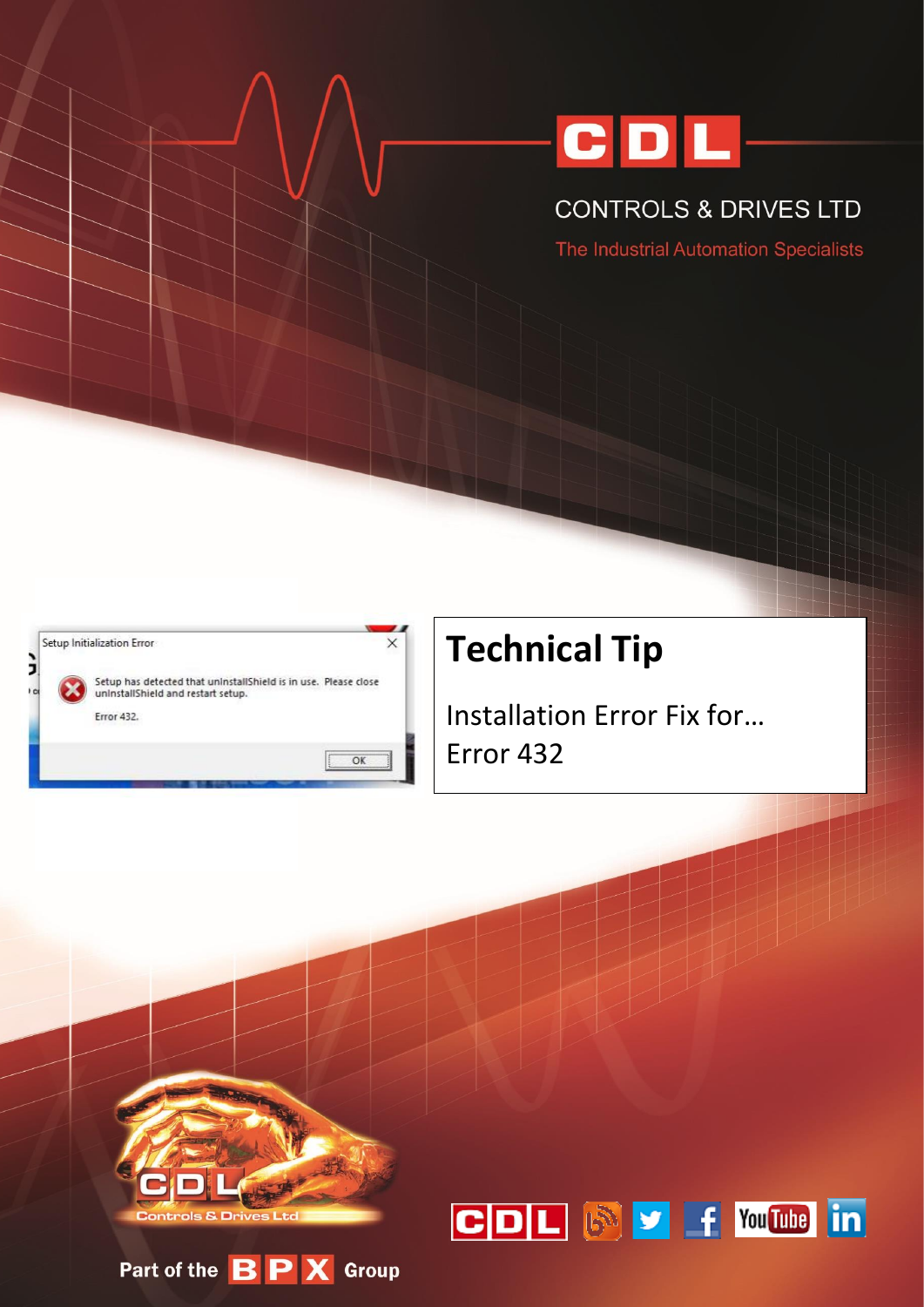

## **CONTROLS & DRIVES LTD**

The Industrial Automation Specialists



# **Technical Tip**

**Installation Error Fix for...** Error 432



Part of the BPX Group

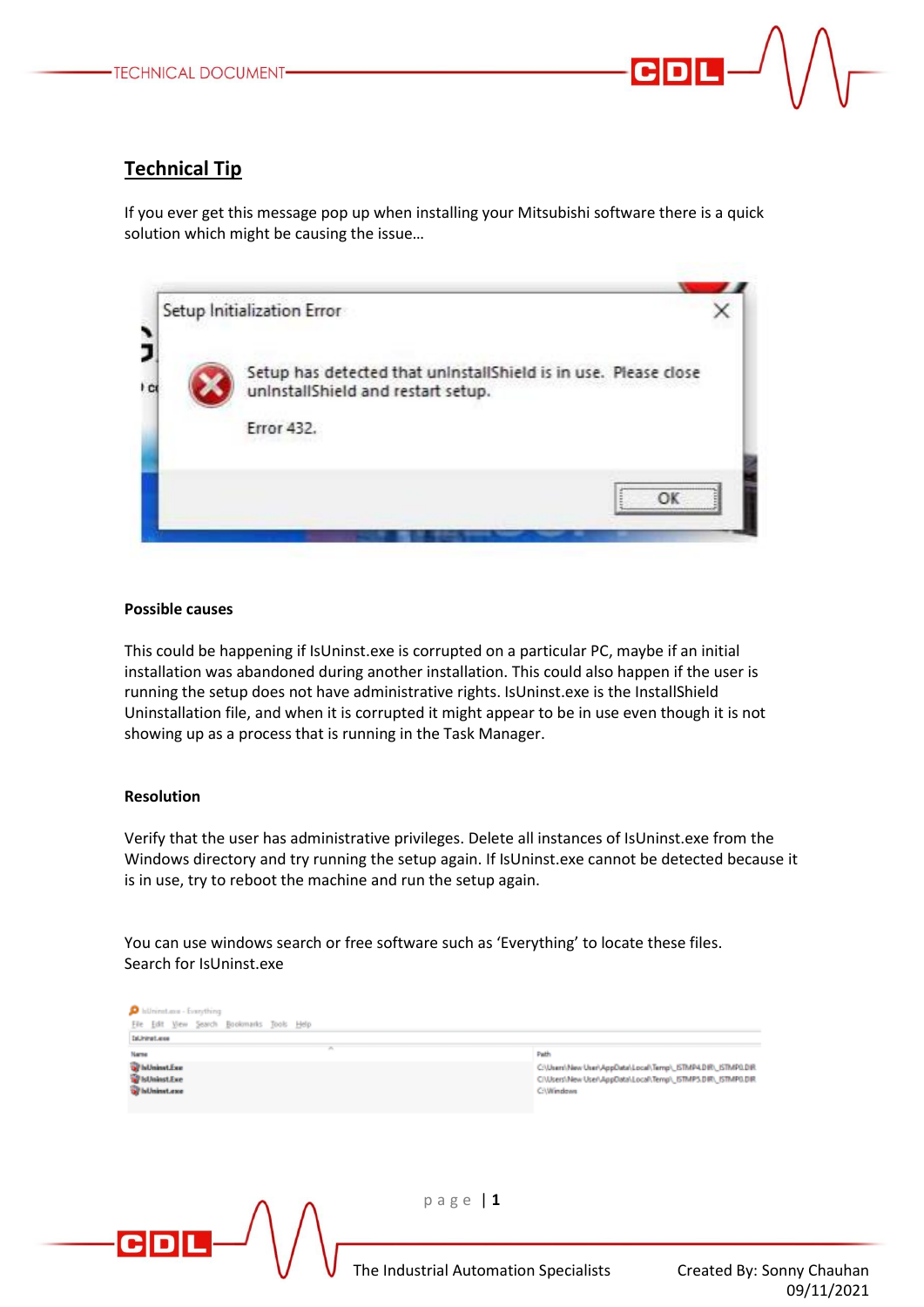### **Technical Tip**

If you ever get this message pop up when installing your Mitsubishi software there is a quick solution which might be causing the issue…



#### **Possible causes**

This could be happening if IsUninst.exe is corrupted on a particular PC, maybe if an initial installation was abandoned during another installation. This could also happen if the user is running the setup does not have administrative rights. IsUninst.exe is the InstallShield Uninstallation file, and when it is corrupted it might appear to be in use even though it is not showing up as a process that is running in the Task Manager.

#### **Resolution**

Verify that the user has administrative privileges. Delete all instances of IsUninst.exe from the Windows directory and try running the setup again. If IsUninst.exe cannot be detected because it is in use, try to reboot the machine and run the setup again.

You can use windows search or free software such as 'Everything' to locate these files. Search for IsUninst.exe